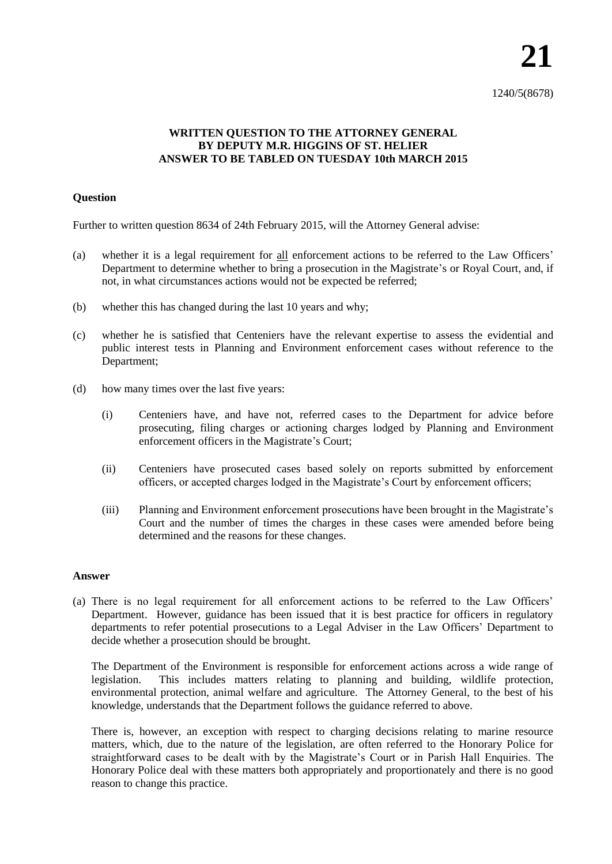1240/5(8678)

## **WRITTEN QUESTION TO THE ATTORNEY GENERAL BY DEPUTY M.R. HIGGINS OF ST. HELIER ANSWER TO BE TABLED ON TUESDAY 10th MARCH 2015**

## **Question**

Further to written question 8634 of 24th February 2015, will the Attorney General advise:

- (a) whether it is a legal requirement for all enforcement actions to be referred to the Law Officers' Department to determine whether to bring a prosecution in the Magistrate's or Royal Court, and, if not, in what circumstances actions would not be expected be referred;
- (b) whether this has changed during the last 10 years and why;
- (c) whether he is satisfied that Centeniers have the relevant expertise to assess the evidential and public interest tests in Planning and Environment enforcement cases without reference to the Department;
- (d) how many times over the last five years:
	- (i) Centeniers have, and have not, referred cases to the Department for advice before prosecuting, filing charges or actioning charges lodged by Planning and Environment enforcement officers in the Magistrate's Court;
	- (ii) Centeniers have prosecuted cases based solely on reports submitted by enforcement officers, or accepted charges lodged in the Magistrate's Court by enforcement officers;
	- (iii) Planning and Environment enforcement prosecutions have been brought in the Magistrate's Court and the number of times the charges in these cases were amended before being determined and the reasons for these changes.

## **Answer**

(a) There is no legal requirement for all enforcement actions to be referred to the Law Officers' Department. However, guidance has been issued that it is best practice for officers in regulatory departments to refer potential prosecutions to a Legal Adviser in the Law Officers' Department to decide whether a prosecution should be brought.

The Department of the Environment is responsible for enforcement actions across a wide range of legislation. This includes matters relating to planning and building, wildlife protection, environmental protection, animal welfare and agriculture. The Attorney General, to the best of his knowledge, understands that the Department follows the guidance referred to above.

There is, however, an exception with respect to charging decisions relating to marine resource matters, which, due to the nature of the legislation, are often referred to the Honorary Police for straightforward cases to be dealt with by the Magistrate's Court or in Parish Hall Enquiries. The Honorary Police deal with these matters both appropriately and proportionately and there is no good reason to change this practice.